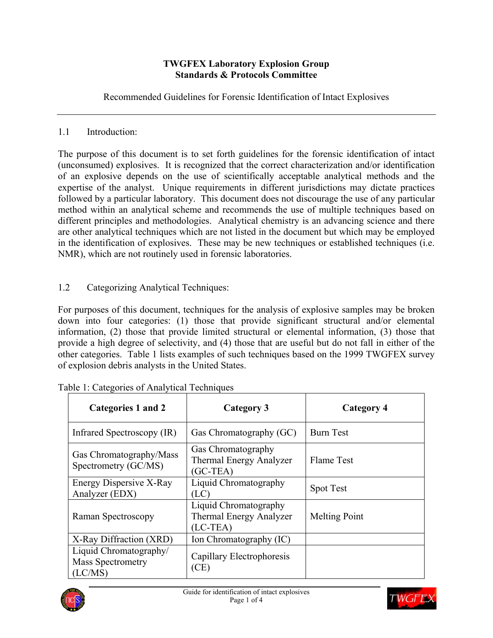### **TWGFEX Laboratory Explosion Group Standards & Protocols Committee**

Recommended Guidelines for Forensic Identification of Intact Explosives

## 1.1 Introduction:

The purpose of this document is to set forth guidelines for the forensic identification of intact (unconsumed) explosives. It is recognized that the correct characterization and/or identification of an explosive depends on the use of scientifically acceptable analytical methods and the expertise of the analyst. Unique requirements in different jurisdictions may dictate practices followed by a particular laboratory. This document does not discourage the use of any particular method within an analytical scheme and recommends the use of multiple techniques based on different principles and methodologies. Analytical chemistry is an advancing science and there are other analytical techniques which are not listed in the document but which may be employed in the identification of explosives. These may be new techniques or established techniques (i.e. NMR), which are not routinely used in forensic laboratories.

# 1.2 Categorizing Analytical Techniques:

For purposes of this document, techniques for the analysis of explosive samples may be broken down into four categories: (1) those that provide significant structural and/or elemental information, (2) those that provide limited structural or elemental information, (3) those that provide a high degree of selectivity, and (4) those that are useful but do not fall in either of the other categories. Table 1 lists examples of such techniques based on the 1999 TWGFEX survey of explosion debris analysts in the United States.

| Categories 1 and 2                                          | <b>Category 3</b>                                                     | Category 4           |  |  |  |  |  |
|-------------------------------------------------------------|-----------------------------------------------------------------------|----------------------|--|--|--|--|--|
| Infrared Spectroscopy (IR)                                  | Gas Chromatography (GC)                                               | <b>Burn Test</b>     |  |  |  |  |  |
| Gas Chromatography/Mass<br>Spectrometry (GC/MS)             | Gas Chromatography<br><b>Thermal Energy Analyzer</b><br>$(GC-TEA)$    | Flame Test           |  |  |  |  |  |
| Energy Dispersive X-Ray<br>Analyzer (EDX)                   | Liquid Chromatography<br>(LC)                                         | <b>Spot Test</b>     |  |  |  |  |  |
| Raman Spectroscopy                                          | Liquid Chromatography<br><b>Thermal Energy Analyzer</b><br>$(LC-TEA)$ | <b>Melting Point</b> |  |  |  |  |  |
| X-Ray Diffraction (XRD)                                     | Ion Chromatography (IC)                                               |                      |  |  |  |  |  |
| Liquid Chromatography/<br><b>Mass Spectrometry</b><br>LC/MS | Capillary Electrophoresis<br>(CE)                                     |                      |  |  |  |  |  |

|  | Table 1: Categories of Analytical Techniques |  |  |  |
|--|----------------------------------------------|--|--|--|



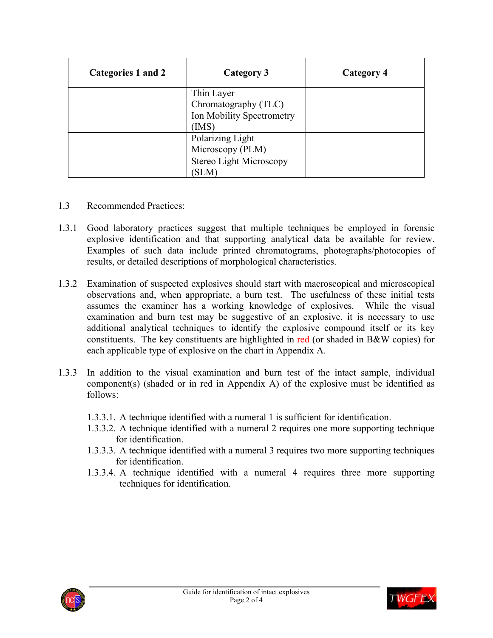| Categories 1 and 2 | Category 3                | <b>Category 4</b> |
|--------------------|---------------------------|-------------------|
|                    | Thin Layer                |                   |
|                    | Chromatography (TLC)      |                   |
|                    | Ion Mobility Spectrometry |                   |
|                    | (IMS)                     |                   |
|                    | Polarizing Light          |                   |
|                    | Microscopy (PLM)          |                   |
|                    | Stereo Light Microscopy   |                   |
|                    | <b>SLM</b>                |                   |

- 1.3 Recommended Practices:
- 1.3.1 Good laboratory practices suggest that multiple techniques be employed in forensic explosive identification and that supporting analytical data be available for review. Examples of such data include printed chromatograms, photographs/photocopies of results, or detailed descriptions of morphological characteristics.
- 1.3.2 Examination of suspected explosives should start with macroscopical and microscopical observations and, when appropriate, a burn test. The usefulness of these initial tests assumes the examiner has a working knowledge of explosives. While the visual examination and burn test may be suggestive of an explosive, it is necessary to use additional analytical techniques to identify the explosive compound itself or its key constituents. The key constituents are highlighted in red (or shaded in B&W copies) for each applicable type of explosive on the chart in Appendix A.
- 1.3.3 In addition to the visual examination and burn test of the intact sample, individual component(s) (shaded or in red in Appendix A) of the explosive must be identified as follows:
	- 1.3.3.1. A technique identified with a numeral 1 is sufficient for identification.
	- 1.3.3.2. A technique identified with a numeral 2 requires one more supporting technique for identification.
	- 1.3.3.3. A technique identified with a numeral 3 requires two more supporting techniques for identification.
	- 1.3.3.4. A technique identified with a numeral 4 requires three more supporting techniques for identification.



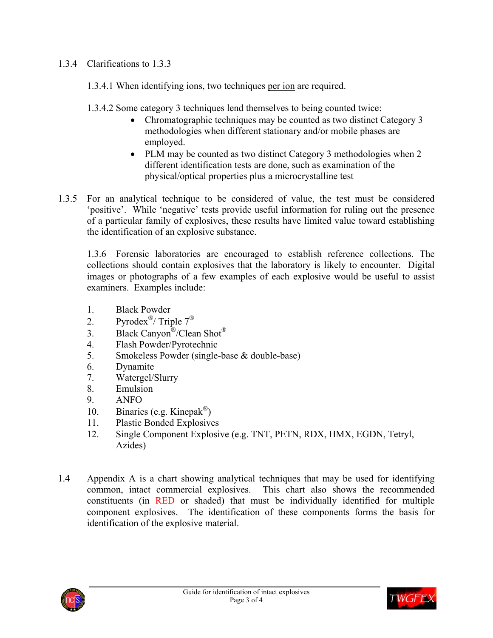# 1.3.4 Clarifications to 1.3.3

1.3.4.1 When identifying ions, two techniques per ion are required.

1.3.4.2 Some category 3 techniques lend themselves to being counted twice:

- Chromatographic techniques may be counted as two distinct Category 3 methodologies when different stationary and/or mobile phases are employed.
- PLM may be counted as two distinct Category 3 methodologies when 2 different identification tests are done, such as examination of the physical/optical properties plus a microcrystalline test
- 1.3.5 For an analytical technique to be considered of value, the test must be considered 'positive'. While 'negative' tests provide useful information for ruling out the presence of a particular family of explosives, these results have limited value toward establishing the identification of an explosive substance.

1.3.6 Forensic laboratories are encouraged to establish reference collections. The collections should contain explosives that the laboratory is likely to encounter. Digital images or photographs of a few examples of each explosive would be useful to assist examiners. Examples include:

- 1. Black Powder
- 2. Pyrodex<sup>®</sup>/ Triple  $7^{\circledR}$
- 3. Black Canyon<sup>®</sup>/Clean Shot<sup>®</sup>
- 4. Flash Powder/Pyrotechnic
- 5. Smokeless Powder (single-base & double-base)
- 6. Dynamite
- 7. Watergel/Slurry
- 8. Emulsion
- 9. ANFO
- 10. Binaries (e.g. Kinepak<sup>®</sup>)
- 11. Plastic Bonded Explosives
- 12. Single Component Explosive (e.g. TNT, PETN, RDX, HMX, EGDN, Tetryl, Azides)
- 1.4 Appendix A is a chart showing analytical techniques that may be used for identifying common, intact commercial explosives. This chart also shows the recommended constituents (in RED or shaded) that must be individually identified for multiple component explosives. The identification of these components forms the basis for identification of the explosive material.



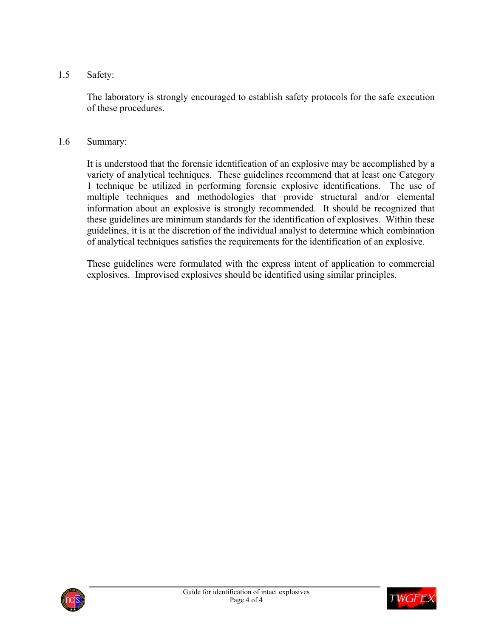1.5 Safety:

The laboratory is strongly encouraged to establish safety protocols for the safe execution of these procedures.

#### 1.6 Summary:

It is understood that the forensic identification of an explosive may be accomplished by a variety of analytical techniques. These guidelines recommend that at least one Category 1 technique be utilized in performing forensic explosive identifications. The use of multiple techniques and methodologies that provide structural and/or elemental information about an explosive is strongly recommended. It should be recognized that these guidelines are minimum standards for the identification of explosives. Within these guidelines, it is at the discretion of the individual analyst to determine which combination of analytical techniques satisfies the requirements for the identification of an explosive.

These guidelines were formulated with the express intent of application to commercial explosives. Improvised explosives should be identified using similar principles.